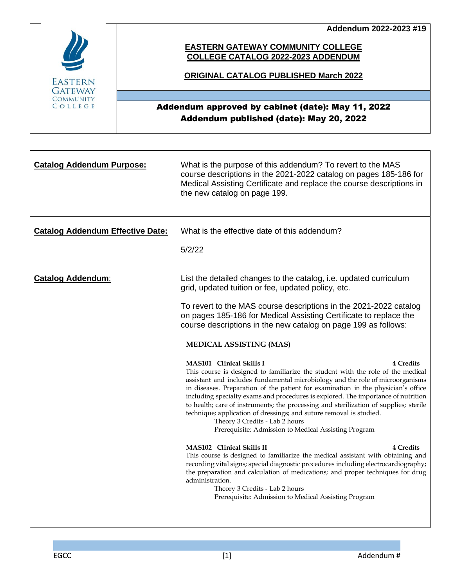**Addendum 2022-2023 #19**



### **EASTERN GATEWAY COMMUNITY COLLEGE COLLEGE CATALOG 2022-2023 ADDENDUM**

### **ORIGINAL CATALOG PUBLISHED March 2022**

### Addendum approved by cabinet (date): May 11, 2022 Addendum published (date): May 20, 2022

| <b>Catalog Addendum Purpose:</b>        | What is the purpose of this addendum? To revert to the MAS<br>course descriptions in the 2021-2022 catalog on pages 185-186 for<br>Medical Assisting Certificate and replace the course descriptions in<br>the new catalog on page 199.                                                                                                                                                                                                                                                                                                                                                                                                                      |  |  |  |  |  |
|-----------------------------------------|--------------------------------------------------------------------------------------------------------------------------------------------------------------------------------------------------------------------------------------------------------------------------------------------------------------------------------------------------------------------------------------------------------------------------------------------------------------------------------------------------------------------------------------------------------------------------------------------------------------------------------------------------------------|--|--|--|--|--|
| <b>Catalog Addendum Effective Date:</b> | What is the effective date of this addendum?                                                                                                                                                                                                                                                                                                                                                                                                                                                                                                                                                                                                                 |  |  |  |  |  |
|                                         | 5/2/22                                                                                                                                                                                                                                                                                                                                                                                                                                                                                                                                                                                                                                                       |  |  |  |  |  |
| <b>Catalog Addendum:</b>                | List the detailed changes to the catalog, i.e. updated curriculum<br>grid, updated tuition or fee, updated policy, etc.                                                                                                                                                                                                                                                                                                                                                                                                                                                                                                                                      |  |  |  |  |  |
|                                         | To revert to the MAS course descriptions in the 2021-2022 catalog<br>on pages 185-186 for Medical Assisting Certificate to replace the<br>course descriptions in the new catalog on page 199 as follows:                                                                                                                                                                                                                                                                                                                                                                                                                                                     |  |  |  |  |  |
|                                         | <b>MEDICAL ASSISTING (MAS)</b>                                                                                                                                                                                                                                                                                                                                                                                                                                                                                                                                                                                                                               |  |  |  |  |  |
|                                         | <b>4 Credits</b><br><b>MAS101</b> Clinical Skills I<br>This course is designed to familiarize the student with the role of the medical<br>assistant and includes fundamental microbiology and the role of microorganisms<br>in diseases. Preparation of the patient for examination in the physician's office<br>including specialty exams and procedures is explored. The importance of nutrition<br>to health; care of instruments; the processing and sterilization of supplies; sterile<br>technique; application of dressings; and suture removal is studied.<br>Theory 3 Credits - Lab 2 hours<br>Prerequisite: Admission to Medical Assisting Program |  |  |  |  |  |
|                                         | <b>MAS102</b> Clinical Skills II<br><b>4 Credits</b><br>This course is designed to familiarize the medical assistant with obtaining and<br>recording vital signs; special diagnostic procedures including electrocardiography;<br>the preparation and calculation of medications; and proper techniques for drug<br>administration.<br>Theory 3 Credits - Lab 2 hours<br>Prerequisite: Admission to Medical Assisting Program                                                                                                                                                                                                                                |  |  |  |  |  |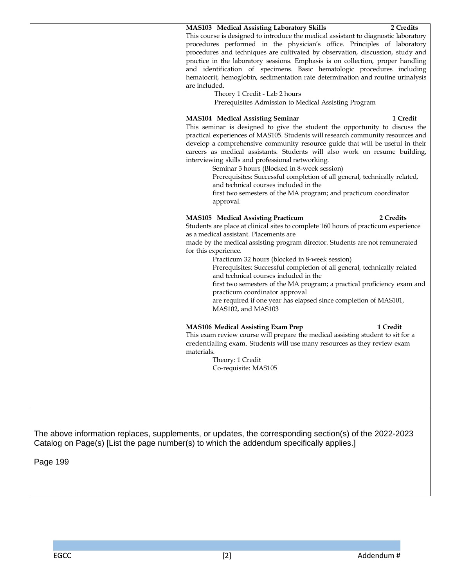#### **MAS103 Medical Assisting Laboratory Skills 2 Credits**

This course is designed to introduce the medical assistant to diagnostic laboratory procedures performed in the physician's office. Principles of laboratory procedures and techniques are cultivated by observation, discussion, study and practice in the laboratory sessions. Emphasis is on collection, proper handling and identification of specimens. Basic hematologic procedures including hematocrit, hemoglobin, sedimentation rate determination and routine urinalysis are included.

Theory 1 Credit - Lab 2 hours

Prerequisites Admission to Medical Assisting Program

#### **MAS104 Medical Assisting Seminar 1 Credit**

This seminar is designed to give the student the opportunity to discuss the practical experiences of MAS105. Students will research community resources and develop a comprehensive community resource guide that will be useful in their careers as medical assistants. Students will also work on resume building, interviewing skills and professional networking.

Seminar 3 hours (Blocked in 8-week session)

Prerequisites: Successful completion of all general, technically related, and technical courses included in the

first two semesters of the MA program; and practicum coordinator approval.

#### **MAS105 Medical Assisting Practicum 2 Credits**

Students are place at clinical sites to complete 160 hours of practicum experience as a medical assistant. Placements are

made by the medical assisting program director. Students are not remunerated for this experience.

Practicum 32 hours (blocked in 8-week session)

Prerequisites: Successful completion of all general, technically related and technical courses included in the

first two semesters of the MA program; a practical proficiency exam and practicum coordinator approval

are required if one year has elapsed since completion of MAS101, MAS102, and MAS103

#### **MAS106 Medical Assisting Exam Prep 1 Credit**

This exam review course will prepare the medical assisting student to sit for a credentialing exam. Students will use many resources as they review exam materials.

> Theory: 1 Credit Co-requisite: MAS105

The above information replaces, supplements, or updates, the corresponding section(s) of the 2022-2023 Catalog on Page(s) [List the page number(s) to which the addendum specifically applies.]

Page 199